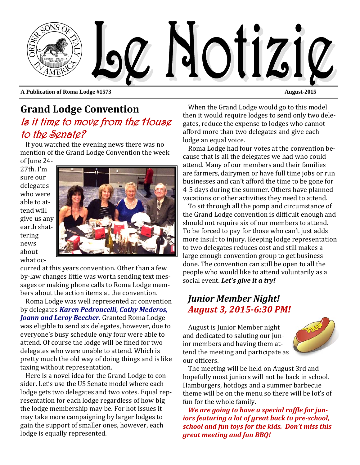

**A Publication of Roma Lodge #1573 August-2015** 

## **Grand Lodge Convention** Is it time to move from the House to the Senate?

If you watched the evening news there was no mention of the Grand Lodge Convention the week of June 24-

 $27th$ . I'm sure our delegates who were able to attend will give us any earth shattering news about what oc-



curred at this years convention. Other than a few by-law changes little was worth sending text messages or making phone calls to Roma Lodge members about the action items at the convention.

Roma Lodge was well represented at convention by delegates *Karen Pedroncelli, Cathy Mederos, Joann and Leroy Beecher.* Granted Roma Lodge was eligible to send six delegates, however, due to everyone's busy schedule only four were able to attend. Of course the lodge will be fined for two delegates who were unable to attend. Which is pretty much the old way of doing things and is like taxing without representation.

Here is a novel idea for the Grand Lodge to consider. Let's use the US Senate model where each lodge gets two delegates and two votes. Equal representation for each lodge regardless of how big the lodge membership may be. For hot issues it may take more campaigning by larger lodges to gain the support of smaller ones, however, each lodge is equally represented.

When the Grand Lodge would go to this model then it would require lodges to send only two delegates, reduce the expense to lodges who cannot afford more than two delegates and give each lodge an equal voice.

Roma Lodge had four votes at the convention because that is all the delegates we had who could attend. Many of our members and their families are farmers, dairymen or have full time jobs or run businesses and can't afford the time to be gone for 4-5 days during the summer. Others have planned vacations or other activities they need to attend.

To sit through all the pomp and circumstance of the Grand Lodge convention is difficult enough and should not require six of our members to attend. To be forced to pay for those who can't just adds more insult to injury. Keeping lodge representation to two delegates reduces cost and still makes a large enough convention group to get business done. The convention can still be open to all the people who would like to attend voluntarily as a social event. Let's give it a try!

### *Junior Member Night! August 3, 2015‐6:30 PM!*

August is Junior Member night and dedicated to saluting our junior members and having them attend the meeting and participate as our officers.



The meeting will be held on August 3rd and hopefully most juniors will not be back in school. Hamburgers, hotdogs and a summer barbecue theme will be on the menu so there will be lot's of fun for the whole family.

*We* are *going* to have a special raffle for *juniors featuring a lot of great back to pre‐school, school and fun toys for the kids. Don't miss this great meeting and fun BBQ!*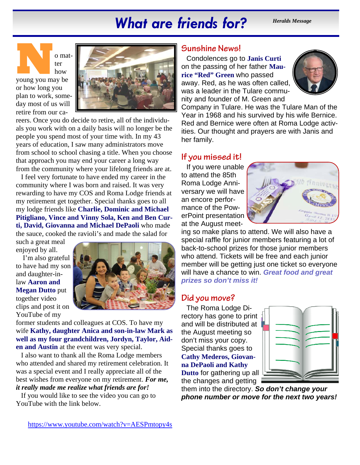# *What are friends for? Heralds Message*

**N** o mat-young you may be ter how

or how long you plan to work, someday most of us will retire from our ca-



reers. Once you do decide to retire, all of the individuals you work with on a daily basis will no longer be the people you spend most of your time with. In my 43 years of education, I saw many administrators move from school to school chasing a title. When you choose that approach you may end your career a long way from the community where your lifelong friends are at.

I feel very fortunate to have ended my career in the community where I was born and raised. It was very rewarding to have my COS and Roma Lodge friends at my retirement get together. Special thanks goes to all my lodge friends like **Charlie, Dominic and Michael Pitigliano, Vince and Vinny Sola, Ken and Ben Curti, David, Giovanna and Michael DePaoli** who made the sauce, cooked the ravioli's and made the salad for

such a great meal enjoyed by all.

 I'm also grateful to have had my son and daughter-inlaw **Aaron and Megan Dutto** put together video clips and post it on YouTube of my



former students and colleagues at COS. To have my wife **Kathy, daughter Anica and son-in-law Mark as well as my four grandchildren, Jordyn, Taylor, Aiden and Austin** at the event was very special.

I also want to thank all the Roma Lodge members who attended and shared my retirement celebration. It was a special event and I really appreciate all of the best wishes from everyone on my retirement. *For me, it really made me realize what friends are for!* 

If you would like to see the video you can go to YouTube with the link below.

#### **Sunshine News!**

Condolences go to **Janis Curti**  on the passing of her father **Maurice "Red" Green** who passed away. Red, as he was often called, was a leader in the Tulare community and founder of M. Green and



Company in Tulare. He was the Tulare Man of the Year in 1968 and his survived by his wife Bernice. Red and Bernice were often at Roma Lodge activities. Our thought and prayers are with Janis and her family.

#### **If you missed it!**

If you were unable to attend the 85th Roma Lodge Anniversary we will have an encore performance of the PowerPoint presentation at the August meet-



ing so make plans to attend. We will also have a special raffle for junior members featuring a lot of back-to-school prizes for those junior members who attend. Tickets will be free and each junior member will be getting just one ticket so everyone will have a chance to win. *Great food and great prizes so don't miss it!* 

### **Did you move?**

The Roma Lodge Directory has gone to print and will be distributed at the August meeting so don't miss your copy. Special thanks goes to **Cathy Mederos, Giovanna DePaoli and Kathy Dutto** for gathering up all the changes and getting



them into the directory. *So don't change your phone number or move for the next two years!*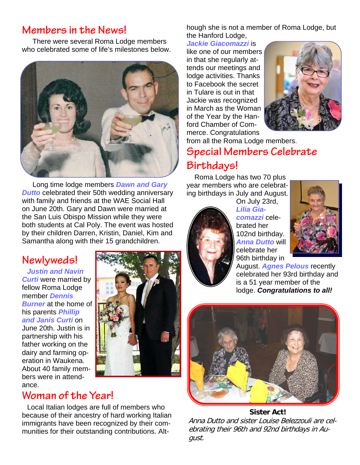## **Members in the News!**

There were several Roma Lodge members who celebrated some of life's milestones below.



Long time lodge members *Dawn and Gary*  **Dutto** celebrated their 50th wedding anniversary with family and friends at the WAE Social Hall on June 20th. Gary and Dawn were married at the San Luis Obispo Mission while they were both students at Cal Poly. The event was hosted by their children Darren, Kristin, Daniel, Kim and Samantha along with their 15 grandchildren.

# **Newlyweds!**

#### *Justin and Navin*

*Curti* were married by fellow Roma Lodge member *Dennis*  **Burner** at the home of his parents *Phillip and Janis Curti* on June 20th. Justin is in

partnership with his father working on the dairy and farming operation in Waukena. About 40 family members were in attend-

# **Woman of the Year!**

ance.

Local Italian lodges are full of members who because of their ancestry of hard working Italian immigrants have been recognized by their communities for their outstanding contributions. Alt-

hough she is not a member of Roma Lodge, but the Hanford Lodge,

*Jackie Giacomazzi* is like one of our members in that she regularly attends our meetings and lodge activities. Thanks to Facebook the secret in Tulare is out in that Jackie was recognized in March as the Woman of the Year by the Hanford Chamber of Commerce. Congratulations



from all the Roma Lodge members. **Special Members Celebrate** 

# **Birthdays!**

Roma Lodge has two 70 plus year members who are celebrating birthdays in July and August.



On July 23rd, *Lilia Giacomazzi* celebrated her 102nd birthday. *Anna Dutto* will celebrate her 96th birthday in



August. *Agnes Pelous* recently celebrated her 93rd birthday and is a 51 year member of the lodge. *Congratulations to all!* 



#### **Sister Act!**  Anna Dutto and sister Louise Belezzouli are celebrating their 96th and 92nd birthdays in August.